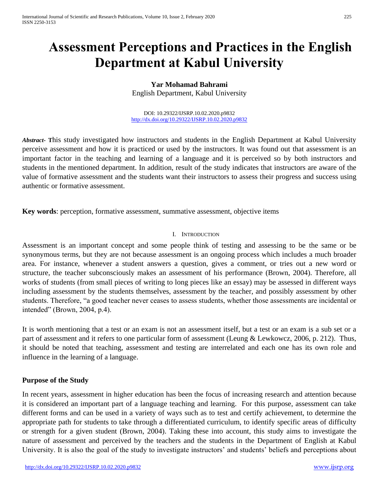# **Assessment Perceptions and Practices in the English Department at Kabul University**

**Yar Mohamad Bahrami** English Department, Kabul University

DOI: 10.29322/IJSRP.10.02.2020.p9832 <http://dx.doi.org/10.29322/IJSRP.10.02.2020.p9832>

*Abstract***- T**his study investigated how instructors and students in the English Department at Kabul University perceive assessment and how it is practiced or used by the instructors. It was found out that assessment is an important factor in the teaching and learning of a language and it is perceived so by both instructors and students in the mentioned department. In addition, result of the study indicates that instructors are aware of the value of formative assessment and the students want their instructors to assess their progress and success using authentic or formative assessment.

**Key words**: perception, formative assessment, summative assessment, objective items

#### I. INTRODUCTION

Assessment is an important concept and some people think of testing and assessing to be the same or be synonymous terms, but they are not because assessment is an ongoing process which includes a much broader area. For instance, whenever a student answers a question, gives a comment, or tries out a new word or structure, the teacher subconsciously makes an assessment of his performance (Brown, 2004). Therefore, all works of students (from small pieces of writing to long pieces like an essay) may be assessed in different ways including assessment by the students themselves, assessment by the teacher, and possibly assessment by other students. Therefore, "a good teacher never ceases to assess students, whether those assessments are incidental or intended" (Brown, 2004, p.4).

It is worth mentioning that a test or an exam is not an assessment itself, but a test or an exam is a sub set or a part of assessment and it refers to one particular form of assessment (Leung & Lewkowcz, 2006, p. 212). Thus, it should be noted that teaching, assessment and testing are interrelated and each one has its own role and influence in the learning of a language.

#### **Purpose of the Study**

In recent years, assessment in higher education has been the focus of increasing research and attention because it is considered an important part of a language teaching and learning. For this purpose, assessment can take different forms and can be used in a variety of ways such as to test and certify achievement, to determine the appropriate path for students to take through a differentiated curriculum, to identify specific areas of difficulty or strength for a given student (Brown, 2004). Taking these into account, this study aims to investigate the nature of assessment and perceived by the teachers and the students in the Department of English at Kabul University. It is also the goal of the study to investigate instructors' and students' beliefs and perceptions about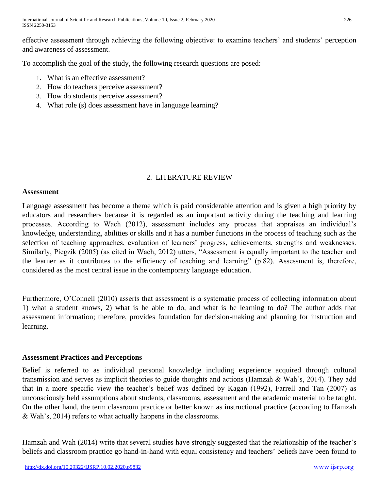effective assessment through achieving the following objective: to examine teachers' and students' perception and awareness of assessment.

To accomplish the goal of the study, the following research questions are posed:

- 1. What is an effective assessment?
- 2. How do teachers perceive assessment?
- 3. How do students perceive assessment?
- 4. What role (s) does assessment have in language learning?

# 2. LITERATURE REVIEW

#### **Assessment**

Language assessment has become a theme which is paid considerable attention and is given a high priority by educators and researchers because it is regarded as an important activity during the teaching and learning processes. According to Wach (2012), assessment includes any process that appraises an individual's knowledge, understanding, abilities or skills and it has a number functions in the process of teaching such as the selection of teaching approaches, evaluation of learners' progress, achievements, strengths and weaknesses. Similarly, Piegzik (2005) (as cited in Wach, 2012) utters, "Assessment is equally important to the teacher and the learner as it contributes to the efficiency of teaching and learning" (p.82). Assessment is, therefore, considered as the most central issue in the contemporary language education.

Furthermore, O'Connell (2010) asserts that assessment is a systematic process of collecting information about 1) what a student knows, 2) what is he able to do, and what is he learning to do? The author adds that assessment information; therefore, provides foundation for decision-making and planning for instruction and learning.

# **Assessment Practices and Perceptions**

Belief is referred to as individual personal knowledge including experience acquired through cultural transmission and serves as implicit theories to guide thoughts and actions (Hamzah & Wah's, 2014). They add that in a more specific view the teacher's belief was defined by Kagan (1992), Farrell and Tan (2007) as unconsciously held assumptions about students, classrooms, assessment and the academic material to be taught. On the other hand, the term classroom practice or better known as instructional practice (according to Hamzah & Wah's, 2014) refers to what actually happens in the classrooms.

Hamzah and Wah (2014) write that several studies have strongly suggested that the relationship of the teacher's beliefs and classroom practice go hand-in-hand with equal consistency and teachers' beliefs have been found to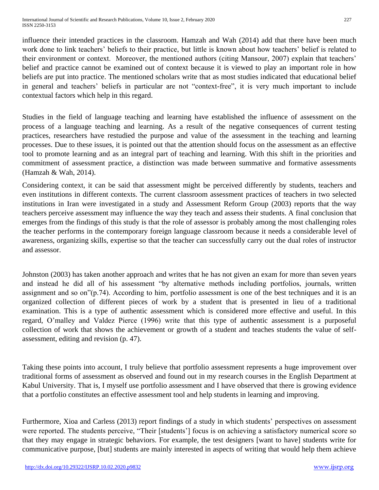influence their intended practices in the classroom. Hamzah and Wah (2014) add that there have been much work done to link teachers' beliefs to their practice, but little is known about how teachers' belief is related to their environment or context. Moreover, the mentioned authors (citing Mansour, 2007) explain that teachers' belief and practice cannot be examined out of context because it is viewed to play an important role in how beliefs are put into practice. The mentioned scholars write that as most studies indicated that educational belief in general and teachers' beliefs in particular are not "context-free", it is very much important to include contextual factors which help in this regard.

Studies in the field of language teaching and learning have established the influence of assessment on the process of a language teaching and learning. As a result of the negative consequences of current testing practices, researchers have restudied the purpose and value of the assessment in the teaching and learning processes. Due to these issues, it is pointed out that the attention should focus on the assessment as an effective tool to promote learning and as an integral part of teaching and learning. With this shift in the priorities and commitment of assessment practice, a distinction was made between summative and formative assessments (Hamzah & Wah, 2014).

Considering context, it can be said that assessment might be perceived differently by students, teachers and even institutions in different contexts. The current classroom assessment practices of teachers in two selected institutions in Iran were investigated in a study and Assessment Reform Group (2003) reports that the way teachers perceive assessment may influence the way they teach and assess their students. A final conclusion that emerges from the findings of this study is that the role of assessor is probably among the most challenging roles the teacher performs in the contemporary foreign language classroom because it needs a considerable level of awareness, organizing skills, expertise so that the teacher can successfully carry out the dual roles of instructor and assessor.

Johnston (2003) has taken another approach and writes that he has not given an exam for more than seven years and instead he did all of his assessment "by alternative methods including portfolios, journals, written assignment and so on"(p.74). According to him, portfolio assessment is one of the best techniques and it is an organized collection of different pieces of work by a student that is presented in lieu of a traditional examination. This is a type of authentic assessment which is considered more effective and useful. In this regard, O'malley and Valdez Pierce (1996) write that this type of authentic assessment is a purposeful collection of work that shows the achievement or growth of a student and teaches students the value of selfassessment, editing and revision (p. 47).

Taking these points into account, I truly believe that portfolio assessment represents a huge improvement over traditional forms of assessment as observed and found out in my research courses in the English Department at Kabul University. That is, I myself use portfolio assessment and I have observed that there is growing evidence that a portfolio constitutes an effective assessment tool and help students in learning and improving.

Furthermore, Xioa and Carless (2013) report findings of a study in which students' perspectives on assessment were reported. The students perceive, "Their [students'] focus is on achieving a satisfactory numerical score so that they may engage in strategic behaviors. For example, the test designers [want to have] students write for communicative purpose, [but] students are mainly interested in aspects of writing that would help them achieve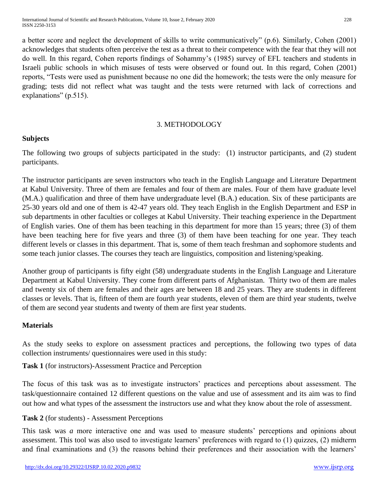a better score and neglect the development of skills to write communicatively" (p.6). Similarly, Cohen (2001) acknowledges that students often perceive the test as a threat to their competence with the fear that they will not do well. In this regard, Cohen reports findings of Sohammy's (1985) survey of EFL teachers and students in Israeli public schools in which misuses of tests were observed or found out. In this regard, Cohen (2001) reports, "Tests were used as punishment because no one did the homework; the tests were the only measure for grading; tests did not reflect what was taught and the tests were returned with lack of corrections and explanations" (p.515).

### 3. METHODOLOGY

# **Subjects**

The following two groups of subjects participated in the study: (1) instructor participants, and (2) student participants.

The instructor participants are seven instructors who teach in the English Language and Literature Department at Kabul University. Three of them are females and four of them are males. Four of them have graduate level (M.A.) qualification and three of them have undergraduate level (B.A.) education. Six of these participants are 25-30 years old and one of them is 42-47 years old. They teach English in the English Department and ESP in sub departments in other faculties or colleges at Kabul University. Their teaching experience in the Department of English varies. One of them has been teaching in this department for more than 15 years; three (3) of them have been teaching here for five years and three (3) of them have been teaching for one year. They teach different levels or classes in this department. That is, some of them teach freshman and sophomore students and some teach junior classes. The courses they teach are linguistics, composition and listening/speaking.

Another group of participants is fifty eight (58) undergraduate students in the English Language and Literature Department at Kabul University. They come from different parts of Afghanistan. Thirty two of them are males and twenty six of them are females and their ages are between 18 and 25 years. They are students in different classes or levels. That is, fifteen of them are fourth year students, eleven of them are third year students, twelve of them are second year students and twenty of them are first year students.

# **Materials**

As the study seeks to explore on assessment practices and perceptions, the following two types of data collection instruments/ questionnaires were used in this study:

**Task 1** (for instructors)-Assessment Practice and Perception

The focus of this task was as to investigate instructors' practices and perceptions about assessment. The task/questionnaire contained 12 different questions on the value and use of assessment and its aim was to find out how and what types of the assessment the instructors use and what they know about the role of assessment.

# **Task 2** (for students) - Assessment Perceptions

This task was *a* more interactive one and was used to measure students' perceptions and opinions about assessment. This tool was also used to investigate learners' preferences with regard to (1) quizzes, (2) midterm and final examinations and (3) the reasons behind their preferences and their association with the learners'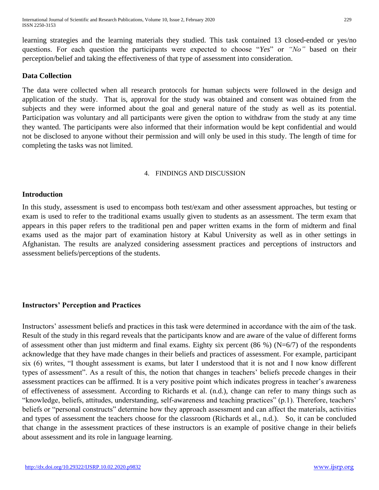learning strategies and the learning materials they studied. This task contained 13 closed-ended or yes/no questions. For each question the participants were expected to choose "*Yes*" or *"No"* based on their perception/belief and taking the effectiveness of that type of assessment into consideration.

#### **Data Collection**

The data were collected when all research protocols for human subjects were followed in the design and application of the study. That is, approval for the study was obtained and consent was obtained from the subjects and they were informed about the goal and general nature of the study as well as its potential. Participation was voluntary and all participants were given the option to withdraw from the study at any time they wanted. The participants were also informed that their information would be kept confidential and would not be disclosed to anyone without their permission and will only be used in this study. The length of time for completing the tasks was not limited.

#### 4. FINDINGS AND DISCUSSION

### **Introduction**

In this study, assessment is used to encompass both test/exam and other assessment approaches, but testing or exam is used to refer to the traditional exams usually given to students as an assessment. The term exam that appears in this paper refers to the traditional pen and paper written exams in the form of midterm and final exams used as the major part of examination history at Kabul University as well as in other settings in Afghanistan. The results are analyzed considering assessment practices and perceptions of instructors and assessment beliefs/perceptions of the students.

#### **Instructors' Perception and Practices**

Instructors' assessment beliefs and practices in this task were determined in accordance with the aim of the task. Result of the study in this regard reveals that the participants know and are aware of the value of different forms of assessment other than just midterm and final exams. Eighty six percent  $(86\%)$  (N=6/7) of the respondents acknowledge that they have made changes in their beliefs and practices of assessment. For example, participant six (6) writes, "I thought assessment is exams, but later I understood that it is not and I now know different types of assessment". As a result of this, the notion that changes in teachers' beliefs precede changes in their assessment practices can be affirmed. It is a very positive point which indicates progress in teacher's awareness of effectiveness of assessment. According to Richards et al. (n.d.), change can refer to many things such as "knowledge, beliefs, attitudes, understanding, self-awareness and teaching practices" (p.1). Therefore, teachers' beliefs or "personal constructs" determine how they approach assessment and can affect the materials, activities and types of assessment the teachers choose for the classroom (Richards et al., n.d.). So, it can be concluded that change in the assessment practices of these instructors is an example of positive change in their beliefs about assessment and its role in language learning.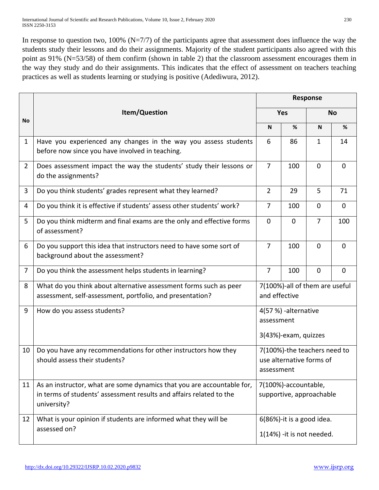In response to question two,  $100\%$  (N=7/7) of the participants agree that assessment does influence the way the students study their lessons and do their assignments. Majority of the student participants also agreed with this point as 91% (N=53/58) of them confirm (shown in table 2) that the classroom assessment encourages them in the way they study and do their assignments. This indicates that the effect of assessment on teachers teaching practices as well as students learning or studying is positive (Adediwura, 2012).

|                | Item/Question                                                                                                                                                | <b>Response</b>                                                        |             |                |             |  |
|----------------|--------------------------------------------------------------------------------------------------------------------------------------------------------------|------------------------------------------------------------------------|-------------|----------------|-------------|--|
|                |                                                                                                                                                              | <b>Yes</b>                                                             |             | <b>No</b>      |             |  |
| <b>No</b>      |                                                                                                                                                              | N                                                                      | %           | N              | %           |  |
| $\mathbf{1}$   | Have you experienced any changes in the way you assess students<br>before now since you have involved in teaching.                                           | 6                                                                      | 86          | $\mathbf{1}$   | 14          |  |
| $\overline{2}$ | Does assessment impact the way the students' study their lessons or<br>do the assignments?                                                                   | $\overline{7}$                                                         | 100         | $\mathbf 0$    | $\mathbf 0$ |  |
| 3              | Do you think students' grades represent what they learned?                                                                                                   | $\overline{2}$                                                         | 29          | 5              | 71          |  |
| 4              | Do you think it is effective if students' assess other students' work?                                                                                       | $\overline{7}$                                                         | 100         | 0              | $\mathbf 0$ |  |
| 5              | Do you think midterm and final exams are the only and effective forms<br>of assessment?                                                                      | $\mathbf 0$                                                            | $\mathbf 0$ | $\overline{7}$ | 100         |  |
| 6              | Do you support this idea that instructors need to have some sort of<br>background about the assessment?                                                      | $\overline{7}$                                                         | 100         | $\mathbf 0$    | 0           |  |
| $\overline{7}$ | Do you think the assessment helps students in learning?                                                                                                      | $\overline{7}$                                                         | 100         | $\mathbf 0$    | $\mathbf 0$ |  |
| 8              | What do you think about alternative assessment forms such as peer<br>assessment, self-assessment, portfolio, and presentation?                               | 7(100%)-all of them are useful<br>and effective                        |             |                |             |  |
| 9              | How do you assess students?                                                                                                                                  | 4(57 %) -alternative<br>assessment<br>3(43%)-exam, quizzes             |             |                |             |  |
| 10             | Do you have any recommendations for other instructors how they<br>should assess their students?                                                              | 7(100%)-the teachers need to<br>use alternative forms of<br>assessment |             |                |             |  |
| 11             | As an instructor, what are some dynamics that you are accountable for,<br>in terms of students' assessment results and affairs related to the<br>university? | 7(100%)-accountable,<br>supportive, approachable                       |             |                |             |  |
| 12             | What is your opinion if students are informed what they will be<br>assessed on?                                                                              | 6(86%)-it is a good idea.<br>1(14%) -it is not needed.                 |             |                |             |  |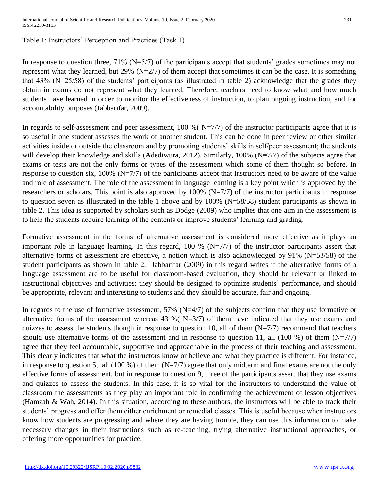### Table 1: Instructors' Perception and Practices (Task 1)

In response to question three,  $71\%$  (N=5/7) of the participants accept that students' grades sometimes may not represent what they learned, but  $29\%$  (N=2/7) of them accept that sometimes it can be the case. It is something that 43% (N=25/58) of the students' participants (as illustrated in table 2) acknowledge that the grades they obtain in exams do not represent what they learned. Therefore, teachers need to know what and how much students have learned in order to monitor the effectiveness of instruction, to plan ongoing instruction, and for accountability purposes (Jabbarifar, 2009).

In regards to self-assessment and peer assessment, 100 %  $(N=7/7)$  of the instructor participants agree that it is so useful if one student assesses the work of another student. This can be done in peer review or other similar activities inside or outside the classroom and by promoting students' skills in self/peer assessment; the students will develop their knowledge and skills (Adediwura, 2012). Similarly, 100% (N=7/7) of the subjects agree that exams or tests are not the only forms or types of the assessment which some of them thought so before. In response to question six, 100% (N=7/7) of the participants accept that instructors need to be aware of the value and role of assessment. The role of the assessment in language learning is a key point which is approved by the researchers or scholars. This point is also approved by 100% (N=7/7) of the instructor participants in response to question seven as illustrated in the table 1 above and by 100% (N=58/58) student participants as shown in table 2. This idea is supported by scholars such as Dodge (2009) who implies that one aim in the assessment is to help the students acquire learning of the contents or improve students' learning and grading.

Formative assessment in the forms of alternative assessment is considered more effective as it plays an important role in language learning. In this regard, 100 %  $(N=7/7)$  of the instructor participants assert that alternative forms of assessment are effective, a notion which is also acknowledged by 91% (N=53/58) of the student participants as shown in table 2. Jabbarifar (2009) in this regard writes if the alternative forms of a language assessment are to be useful for classroom-based evaluation, they should be relevant or linked to instructional objectives and activities; they should be designed to optimize students' performance, and should be appropriate, relevant and interesting to students and they should be accurate, fair and ongoing.

In regards to the use of formative assessment,  $57\%$  (N=4/7) of the subjects confirm that they use formative or alternative forms of the assessment whereas 43 % ( $N=3/7$ ) of them have indicated that they use exams and quizzes to assess the students though in response to question 10, all of them  $(N=7/7)$  recommend that teachers should use alternative forms of the assessment and in response to question 11, all (100 %) of them  $(N=7/7)$ agree that they feel accountable, supportive and approachable in the process of their teaching and assessment. This clearly indicates that what the instructors know or believe and what they practice is different. For instance, in response to question 5, all (100 %) of them  $(N=7/7)$  agree that only midterm and final exams are not the only effective forms of assessment, but in response to question 9, three of the participants assert that they use exams and quizzes to assess the students. In this case, it is so vital for the instructors to understand the value of classroom the assessments as they play an important role in confirming the achievement of lesson objectives (Hamzah & Wah, 2014). In this situation, according to these authors, the instructors will be able to track their students' progress and offer them either enrichment or remedial classes. This is useful because when instructors know how students are progressing and where they are having trouble, they can use this information to make necessary changes in their instructions such as re-teaching, trying alternative instructional approaches, or offering more opportunities for practice.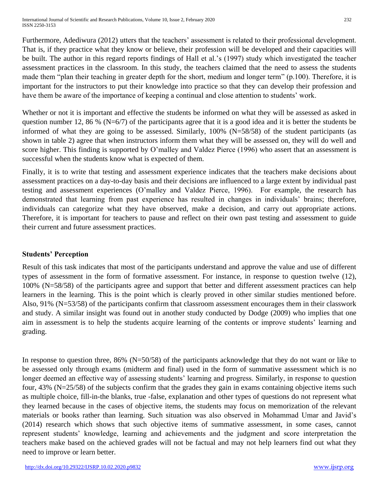Furthermore, Adediwura (2012) utters that the teachers' assessment is related to their professional development. That is, if they practice what they know or believe, their profession will be developed and their capacities will be built. The author in this regard reports findings of Hall et al.'s (1997) study which investigated the teacher assessment practices in the classroom. In this study, the teachers claimed that the need to assess the students made them "plan their teaching in greater depth for the short, medium and longer term" (p.100). Therefore, it is important for the instructors to put their knowledge into practice so that they can develop their profession and have them be aware of the importance of keeping a continual and close attention to students' work.

Whether or not it is important and effective the students be informed on what they will be assessed as asked in question number 12, 86 % (N=6/7) of the participants agree that it is a good idea and it is better the students be informed of what they are going to be assessed. Similarly, 100% (N=58/58) of the student participants (as shown in table 2) agree that when instructors inform them what they will be assessed on, they will do well and score higher. This finding is supported by O'malley and Valdez Pierce (1996) who assert that an assessment is successful when the students know what is expected of them.

Finally, it is to write that testing and assessment experience indicates that the teachers make decisions about assessment practices on a day-to-day basis and their decisions are influenced to a large extent by individual past testing and assessment experiences (O'malley and Valdez Pierce, 1996). For example, the research has demonstrated that learning from past experience has resulted in changes in individuals' brains; therefore, individuals can categorize what they have observed, make a decision, and carry out appropriate actions. Therefore, it is important for teachers to pause and reflect on their own past testing and assessment to guide their current and future assessment practices.

# **Students' Perception**

Result of this task indicates that most of the participants understand and approve the value and use of different types of assessment in the form of formative assessment. For instance, in response to question twelve (12), 100% (N=58/58) of the participants agree and support that better and different assessment practices can help learners in the learning. This is the point which is clearly proved in other similar studies mentioned before. Also, 91% (N=53/58) of the participants confirm that classroom assessment encourages them in their classwork and study. A similar insight was found out in another study conducted by Dodge (2009) who implies that one aim in assessment is to help the students acquire learning of the contents or improve students' learning and grading.

In response to question three, 86% (N=50/58) of the participants acknowledge that they do not want or like to be assessed only through exams (midterm and final) used in the form of summative assessment which is no longer deemed an effective way of assessing students' learning and progress. Similarly, in response to question four, 43% (N=25/58) of the subjects confirm that the grades they gain in exams containing objective items such as multiple choice, fill-in-the blanks, true -false, explanation and other types of questions do not represent what they learned because in the cases of objective items, the students may focus on memorization of the relevant materials or books rather than learning. Such situation was also observed in Mohammad Umar and Javid's (2014) research which shows that such objective items of summative assessment, in some cases, cannot represent students' knowledge, learning and achievements and the judgment and score interpretation the teachers make based on the achieved grades will not be factual and may not help learners find out what they need to improve or learn better.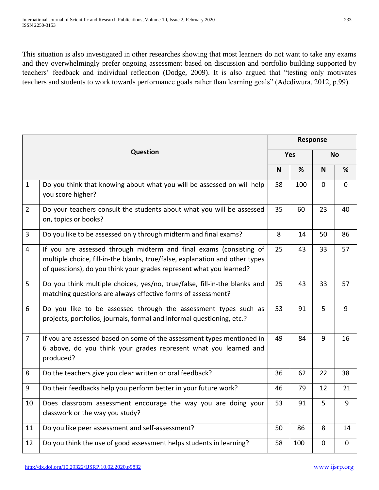This situation is also investigated in other researches showing that most learners do not want to take any exams and they overwhelmingly prefer ongoing assessment based on discussion and portfolio building supported by teachers' feedback and individual reflection (Dodge, 2009). It is also argued that "testing only motivates teachers and students to work towards performance goals rather than learning goals" (Adediwura, 2012, p.99).

| Question       |                                                                                                                                                                                                                           | <b>Response</b> |     |             |             |
|----------------|---------------------------------------------------------------------------------------------------------------------------------------------------------------------------------------------------------------------------|-----------------|-----|-------------|-------------|
|                |                                                                                                                                                                                                                           | <b>Yes</b>      |     | <b>No</b>   |             |
|                |                                                                                                                                                                                                                           | N               | %   | $\mathbf N$ | %           |
| $\mathbf{1}$   | Do you think that knowing about what you will be assessed on will help<br>you score higher?                                                                                                                               | 58              | 100 | $\mathbf 0$ | $\mathbf 0$ |
| $\overline{2}$ | Do your teachers consult the students about what you will be assessed<br>on, topics or books?                                                                                                                             | 35              | 60  | 23          | 40          |
| $\overline{3}$ | Do you like to be assessed only through midterm and final exams?                                                                                                                                                          | 8               | 14  | 50          | 86          |
| $\overline{4}$ | If you are assessed through midterm and final exams (consisting of<br>multiple choice, fill-in-the blanks, true/false, explanation and other types<br>of questions), do you think your grades represent what you learned? | 25              | 43  | 33          | 57          |
| 5              | Do you think multiple choices, yes/no, true/false, fill-in-the blanks and<br>matching questions are always effective forms of assessment?                                                                                 | 25              | 43  | 33          | 57          |
| 6              | Do you like to be assessed through the assessment types such as<br>projects, portfolios, journals, formal and informal questioning, etc.?                                                                                 | 53              | 91  | 5           | 9           |
| $\overline{7}$ | If you are assessed based on some of the assessment types mentioned in<br>6 above, do you think your grades represent what you learned and<br>produced?                                                                   | 49              | 84  | 9           | 16          |
| 8              | Do the teachers give you clear written or oral feedback?                                                                                                                                                                  | 36              | 62  | 22          | 38          |
| 9              | Do their feedbacks help you perform better in your future work?                                                                                                                                                           | 46              | 79  | 12          | 21          |
| 10             | Does classroom assessment encourage the way you are doing your<br>classwork or the way you study?                                                                                                                         | 53              | 91  | 5           | 9           |
| 11             | Do you like peer assessment and self-assessment?                                                                                                                                                                          | 50              | 86  | 8           | 14          |
| 12             | Do you think the use of good assessment helps students in learning?                                                                                                                                                       | 58              | 100 | $\mathbf 0$ | $\mathbf 0$ |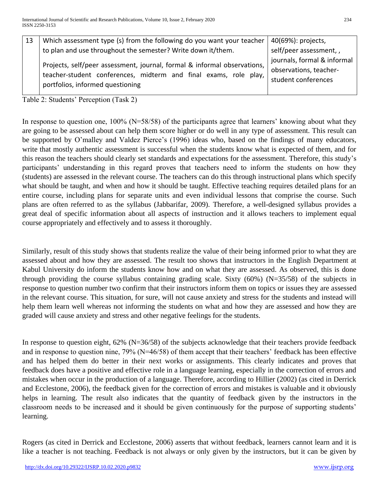| 13 | Which assessment type (s) from the following do you want your teacher                                                                                                            | 40(69%): projects,                                                           |
|----|----------------------------------------------------------------------------------------------------------------------------------------------------------------------------------|------------------------------------------------------------------------------|
|    | to plan and use throughout the semester? Write down it/them.                                                                                                                     | self/peer assessment,,                                                       |
|    | Projects, self/peer assessment, journal, formal & informal observations,<br>teacher-student conferences, midterm and final exams, role play,<br>portfolios, informed questioning | journals, formal & informal<br>observations, teacher-<br>student conferences |

Table 2: Students' Perception (Task 2)

In response to question one, 100% (N=58/58) of the participants agree that learners' knowing about what they are going to be assessed about can help them score higher or do well in any type of assessment. This result can be supported by O'malley and Valdez Pierce's (1996) ideas who, based on the findings of many educators, write that mostly authentic assessment is successful when the students know what is expected of them, and for this reason the teachers should clearly set standards and expectations for the assessment. Therefore, this study's participants' understanding in this regard proves that teachers need to inform the students on how they (students) are assessed in the relevant course. The teachers can do this through instructional plans which specify what should be taught, and when and how it should be taught. Effective teaching requires detailed plans for an entire course, including plans for separate units and even individual lessons that comprise the course. Such plans are often referred to as the syllabus (Jabbarifar, 2009). Therefore, a well-designed syllabus provides a great deal of specific information about all aspects of instruction and it allows teachers to implement equal course appropriately and effectively and to assess it thoroughly.

Similarly, result of this study shows that students realize the value of their being informed prior to what they are assessed about and how they are assessed. The result too shows that instructors in the English Department at Kabul University do inform the students know how and on what they are assessed. As observed, this is done through providing the course syllabus containing grading scale. Sixty (60%) (N=35/58) of the subjects in response to question number two confirm that their instructors inform them on topics or issues they are assessed in the relevant course. This situation, for sure, will not cause anxiety and stress for the students and instead will help them learn well whereas not informing the students on what and how they are assessed and how they are graded will cause anxiety and stress and other negative feelings for the students.

In response to question eight, 62% (N=36/58) of the subjects acknowledge that their teachers provide feedback and in response to question nine, 79% (N=46/58) of them accept that their teachers' feedback has been effective and has helped them do better in their next works or assignments. This clearly indicates and proves that feedback does have a positive and effective role in a language learning, especially in the correction of errors and mistakes when occur in the production of a language. Therefore, according to Hillier (2002) (as cited in Derrick and Ecclestone, 2006), the feedback given for the correction of errors and mistakes is valuable and it obviously helps in learning. The result also indicates that the quantity of feedback given by the instructors in the classroom needs to be increased and it should be given continuously for the purpose of supporting students' learning.

Rogers (as cited in Derrick and Ecclestone, 2006) asserts that without feedback, learners cannot learn and it is like a teacher is not teaching. Feedback is not always or only given by the instructors, but it can be given by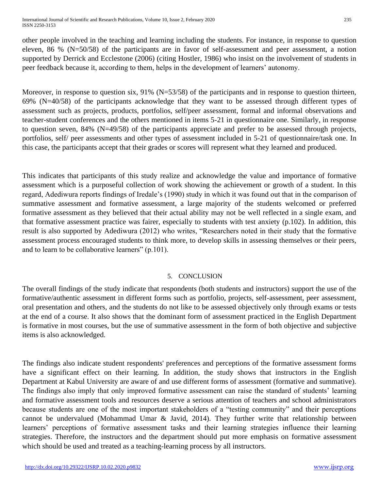other people involved in the teaching and learning including the students. For instance, in response to question eleven, 86 % (N=50/58) of the participants are in favor of self-assessment and peer assessment, a notion supported by Derrick and Ecclestone (2006) (citing Hostler, 1986) who insist on the involvement of students in peer feedback because it, according to them, helps in the development of learners' autonomy.

Moreover, in response to question six, 91% (N=53/58) of the participants and in response to question thirteen, 69% (N=40/58) of the participants acknowledge that they want to be assessed through different types of assessment such as projects, products, portfolios, self/peer assessment, formal and informal observations and teacher-student conferences and the others mentioned in items 5-21 in questionnaire one. Similarly, in response to question seven, 84% (N=49/58) of the participants appreciate and prefer to be assessed through projects, portfolios, self/ peer assessments and other types of assessment included in 5-21 of questionnaire/task one. In this case, the participants accept that their grades or scores will represent what they learned and produced.

This indicates that participants of this study realize and acknowledge the value and importance of formative assessment which is a purposeful collection of work showing the achievement or growth of a student. In this regard, Adediwura reports findings of Iredale's (1990) study in which it was found out that in the comparison of summative assessment and formative assessment, a large majority of the students welcomed or preferred formative assessment as they believed that their actual ability may not be well reflected in a single exam, and that formative assessment practice was fairer, especially to students with test anxiety (p.102). In addition, this result is also supported by Adediwura (2012) who writes, "Researchers noted in their study that the formative assessment process encouraged students to think more, to develop skills in assessing themselves or their peers, and to learn to be collaborative learners" (p.101).

# 5. CONCLUSION

The overall findings of the study indicate that respondents (both students and instructors) support the use of the formative/authentic assessment in different forms such as portfolio, projects, self-assessment, peer assessment, oral presentation and others, and the students do not like to be assessed objectively only through exams or tests at the end of a course. It also shows that the dominant form of assessment practiced in the English Department is formative in most courses, but the use of summative assessment in the form of both objective and subjective items is also acknowledged.

The findings also indicate student respondents' preferences and perceptions of the formative assessment forms have a significant effect on their learning. In addition, the study shows that instructors in the English Department at Kabul University are aware of and use different forms of assessment (formative and summative). The findings also imply that only improved formative assessment can raise the standard of students' learning and formative assessment tools and resources deserve a serious attention of teachers and school administrators because students are one of the most important stakeholders of a "testing community" and their perceptions cannot be undervalued (Mohammad Umar & Javid, 2014). They further write that relationship between learners' perceptions of formative assessment tasks and their learning strategies influence their learning strategies. Therefore, the instructors and the department should put more emphasis on formative assessment which should be used and treated as a teaching-learning process by all instructors.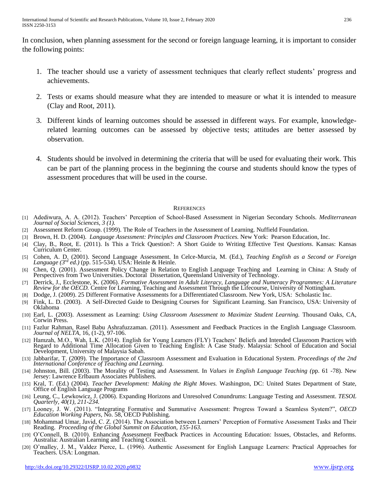In conclusion, when planning assessment for the second or foreign language learning, it is important to consider the following points:

- 1. The teacher should use a variety of assessment techniques that clearly reflect students' progress and achievements.
- 2. Tests or exams should measure what they are intended to measure or what it is intended to measure (Clay and Root, 2011).
- 3. Different kinds of learning outcomes should be assessed in different ways. For example, knowledgerelated learning outcomes can be assessed by objective tests; attitudes are better assessed by observation.
- 4. Students should be involved in determining the criteria that will be used for evaluating their work. This can be part of the planning process in the beginning the course and students should know the types of assessment procedures that will be used in the course.

#### **REFERENCES**

- [1] Adediwura, A. A. (2012). Teachers' Perception of School-Based Assessment in Nigerian Secondary Schools. *Mediterranean Journal of Social Sciences, 3 (1).*
- [2] Assessment Reform Group. (1999). The Role of Teachers in the Assessment of Learning. Nuffield Foundation.
- [3] Brown, H. D. (2004). *Language Assessment: Principles and Classroom Practices.* New York: Pearson Education, Inc.
- [4] Clay, B., Root, E. (2011). Is This a Trick Question?: A Short Guide to Writing Effective Test *Questions*. Kansas: Kansas Curriculum Center.
- [5] Cohen, A. D. (2001). Second Language Assessment. In Celce-Murcia, M. (Ed.), *Teaching English as a Second or Foreign Language (3rd ed.)* (pp. 515-534). USA: Heinle & Heinle.
- [6] Chen, Q. (2001). Assessment Policy Change in Relation to English Language Teaching and Learning in China: A Study of Perspectives from Two Universities. Doctoral Dissertation, Queensland University of Technology.
- [7] Derrick, J., Ecclestone, K. (2006). *Formative Assessment in Adult Literacy, Language and Numeracy Programmes: A Literature Review for the OECD.* Centre for Learning, Teaching and Assessment Through the Lifecourse, University of Nottingham.
- [8] Dodge, J. (2009). 25 Different Formative Assessments for a Differentiated Classroom. New York, USA: Scholastic Inc.
- [9] Fink, L. D. (2003). A Self-Directed Guide to Designing Courses for Significant Learning. San Francisco, USA: University of Oklahoma
- [10] Earl, L. (2003). Assessment as Learning: *Using Classroom Assessment to Maximize Student Learning.* Thousand Oaks, CA, Corwin Press.
- [11] Fazlur Rahman, Rasel Babu Ashrafuzzaman. (2011). Assessment and Feedback Practices in the English Language Classroom. *Journal of NELTA*, 16, (1-2), 97-106.
- [12] Hamzah, M.O., Wah, L.K. (2014). English for Young Learners (FLY) Teachers' Beliefs and Intended Classroom Practices with Regard to Additional Time Allocation Given to Teaching English: A Case Study. Malaysia: School of Education and Social Development, University of Malaysia Sabah.
- [13] Jabbarifar, T. (2009). The Importance of Classroom Assessment and Evaluation in Educational System. *Proceedings of the 2nd International Conference of Teaching and Learning.*
- [14] Johnston, Bill. (2003). The Morality of Testing and Assessment. In *Values in English Language Teaching (*pp. 61 -78). New Jersey: Lawrence Erlbaum Associates Publishers.
- [15] Kral, T. (Ed.) (2004). *Teacher Development: Making the Right Moves.* Washington, DC: United States Department of State, Office of English Language Programs
- [16] Leung, C., Lewkowicz, J. (2006). Expanding Horizons and Unresolved Conundrums: Language Testing and Assessment. *TESOL Quarterly, 40(1), 211-234.*
- [17] Looney, J. W. (2011). "Integrating Formative and Summative Assessment: Progress Toward a Seamless System?", *OECD Education Working Papers*, No. 58, OECD Publishing.
- [18] Mohammad Umar, Javid, C. Z. (2014). The Association between Learners' Perception of Formative Assessment Tasks and Their Reading. *Proceeding of the Global Summit on Education, 155-163.*
- [19] O'Connell, B. (2010). Enhancing Assessment Feedback Practices in Accounting Education: Issues, Obstacles, and Reforms. Australia: Australian Learning and Teaching Council.
- [20] O'malley, J. M., Valdez Pierce, L. (1996). Authentic Assessment for English Language Learners: Practical Approaches for Teachers. USA: Longman.